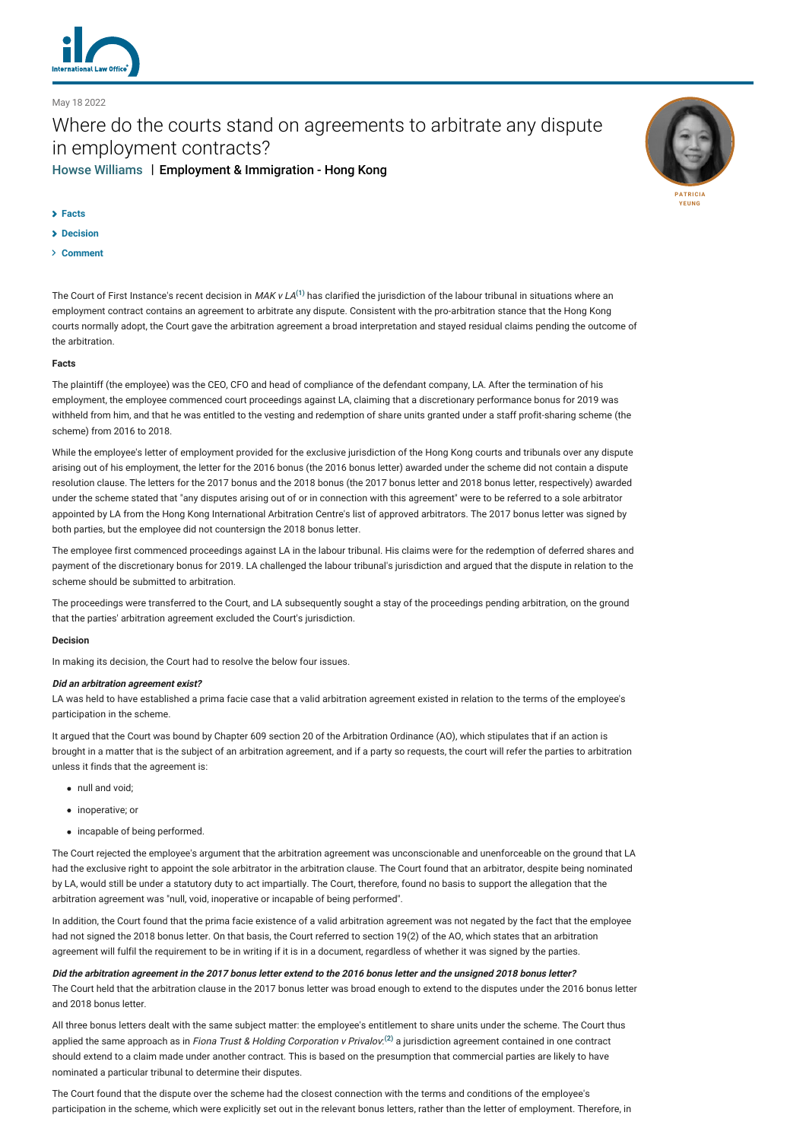

May 18 2022

# Where do the courts stand on agreements to arbitrate any dispute in employment contracts? [Howse Williams](http://lexology-legacy.lexology.svc.cluster.local/contributors/1102147) | Employment & Immigration - Hong Kong



- **[Facts](#page-0-0)**
- **[Decision](#page-0-1)**
- **[Comment](#page-1-0)**

The Court of First Instance's recent decision in MAK v LA $^{(1)}$  $^{(1)}$  $^{(1)}$  has clarified the jurisdiction of the labour tribunal in situations where an employment contract contains an agreement to arbitrate any dispute. Consistent with the pro-arbitration stance that the Hong Kong courts normally adopt, the Court gave the arbitration agreement a broad interpretation and stayed residual claims pending the outcome of the arbitration.

### <span id="page-0-0"></span>**Facts**

The plaintiff (the employee) was the CEO, CFO and head of compliance of the defendant company, LA. After the termination of his employment, the employee commenced court proceedings against LA, claiming that a discretionary performance bonus for 2019 was withheld from him, and that he was entitled to the vesting and redemption of share units granted under a staff profit-sharing scheme (the scheme) from 2016 to 2018.

While the employee's letter of employment provided for the exclusive jurisdiction of the Hong Kong courts and tribunals over any dispute arising out of his employment, the letter for the 2016 bonus (the 2016 bonus letter) awarded under the scheme did not contain a dispute resolution clause. The letters for the 2017 bonus and the 2018 bonus (the 2017 bonus letter and 2018 bonus letter, respectively) awarded under the scheme stated that "any disputes arising out of or in connection with this agreement" were to be referred to a sole arbitrator appointed by LA from the Hong Kong International Arbitration Centre's list of approved arbitrators. The 2017 bonus letter was signed by both parties, but the employee did not countersign the 2018 bonus letter.

The employee first commenced proceedings against LA in the labour tribunal. His claims were for the redemption of deferred shares and payment of the discretionary bonus for 2019. LA challenged the labour tribunal's jurisdiction and argued that the dispute in relation to the scheme should be submitted to arbitration.

The proceedings were transferred to the Court, and LA subsequently sought a stay of the proceedings pending arbitration, on the ground that the parties' arbitration agreement excluded the Court's jurisdiction.

## <span id="page-0-1"></span>**Decision**

In making its decision, the Court had to resolve the below four issues.

#### **Did an arbitration agreement exist?**

LA was held to have established a prima facie case that a valid arbitration agreement existed in relation to the terms of the employee's participation in the scheme.

It argued that the Court was bound by Chapter 609 section 20 of the Arbitration Ordinance (AO), which stipulates that if an action is brought in a matter that is the subject of an arbitration agreement, and if a party so requests, the court will refer the parties to arbitration unless it finds that the agreement is:

- null and void;
- inoperative; or
- incapable of being performed.

The Court rejected the employee's argument that the arbitration agreement was unconscionable and unenforceable on the ground that LA had the exclusive right to appoint the sole arbitrator in the arbitration clause. The Court found that an arbitrator, despite being nominated by LA, would still be under a statutory duty to act impartially. The Court, therefore, found no basis to support the allegation that the arbitration agreement was "null, void, inoperative or incapable of being performed".

In addition, the Court found that the prima facie existence of a valid arbitration agreement was not negated by the fact that the employee had not signed the 2018 bonus letter. On that basis, the Court referred to section 19(2) of the AO, which states that an arbitration agreement will fulfil the requirement to be in writing if it is in a document, regardless of whether it was signed by the parties.

**Did the arbitration agreement in the 2017 bonus letter extend to the 2016 bonus letter and the unsigned 2018 bonus letter?** The Court held that the arbitration clause in the 2017 bonus letter was broad enough to extend to the disputes under the 2016 bonus letter and 2018 bonus letter.

All three bonus letters dealt with the same subject matter: the employee's entitlement to share units under the scheme. The Court thus applied the same approach as in Fiona Trust & Holding Corporation v Privalov.<sup>[\(2\)](#page-1-2)</sup> a jurisdiction agreement contained in one contract should extend to a claim made under another contract. This is based on the presumption that commercial parties are likely to have nominated a particular tribunal to determine their disputes.

The Court found that the dispute over the scheme had the closest connection with the terms and conditions of the employee's participation in the scheme, which were explicitly set out in the relevant bonus letters, rather than the letter of employment. Therefore, in